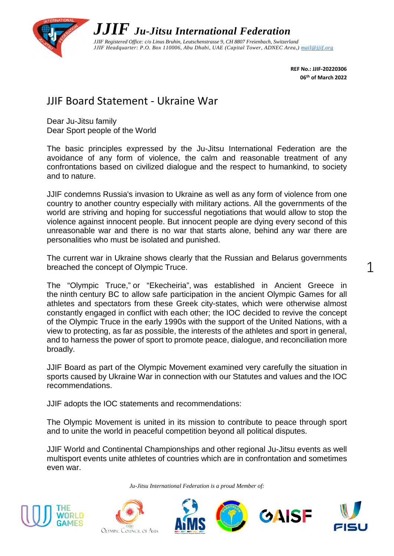

**REF No.: JJIF-20220306 06th of March 2022**

## JJIF Board Statement - Ukraine War

Dear Ju-Jitsu family Dear Sport people of the World

The basic principles expressed by the Ju-Jitsu International Federation are the avoidance of any form of violence, the calm and reasonable treatment of any confrontations based on civilized dialogue and the respect to humankind, to society and to nature.

JJIF condemns Russia's invasion to Ukraine as well as any form of violence from one country to another country especially with military actions. All the governments of the world are striving and hoping for successful negotiations that would allow to stop the violence against innocent people. But innocent people are dying every second of this unreasonable war and there is no war that starts alone, behind any war there are personalities who must be isolated and punished.

The current war in Ukraine shows clearly that the Russian and Belarus governments breached the concept of Olympic Truce.

The "Olympic Truce," or "Ekecheiria", was established in Ancient Greece in the ninth century BC to allow safe participation in the ancient Olympic Games for all athletes and spectators from these Greek city-states, which were otherwise almost constantly engaged in conflict with each other; the IOC decided to revive the concept of the Olympic Truce in the early 1990s with the support of the United Nations, with a view to protecting, as far as possible, the interests of the athletes and sport in general, and to harness the power of sport to promote peace, dialogue, and reconciliation more broadly.

JJIF Board as part of the Olympic Movement examined very carefully the situation in sports caused by Ukraine War in connection with our Statutes and values and the IOC recommendations.

JJIF adopts the IOC statements and recommendations:

The Olympic Movement is united in its mission to contribute to peace through sport and to unite the world in peaceful competition beyond all political disputes.

JJIF World and Continental Championships and other regional Ju-Jitsu events as well multisport events unite athletes of countries which are in confrontation and sometimes even war.

*Ju-Jitsu International Federation is a proud Member of:*









1